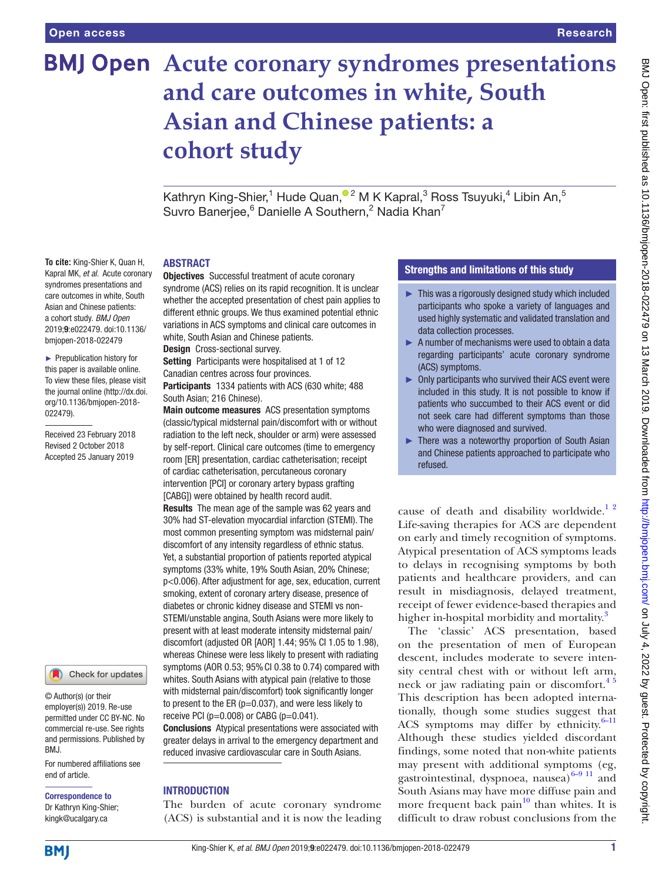**To cite:** King-Shier K, Quan H, Kapral MK, *et al*. Acute coronary syndromes presentations and care outcomes in white, South Asian and Chinese patients: a cohort study. *BMJ Open* 2019;9:e022479. doi:10.1136/ bmjopen-2018-022479 ► Prepublication history for this paper is available online. To view these files, please visit the journal online [\(http://dx.doi.](http://dx.doi.org/10.1136/bmjopen-2018-022479) [org/10.1136/bmjopen-2018-](http://dx.doi.org/10.1136/bmjopen-2018-022479)

[022479\)](http://dx.doi.org/10.1136/bmjopen-2018-022479).

Received 23 February 2018 Revised 2 October 2018 Accepted 25 January 2019

# **Acute coronary syndromes presentations and care outcomes in white, South Asian and Chinese patients: a cohort study**

KathrynKing-Shier,<sup>1</sup> Hude Quan,<sup>®2</sup> M K Kapral,<sup>3</sup> Ross Tsuyuki,<sup>4</sup> Libin An,<sup>5</sup> Suvro Banerjee,  $6$  Danielle A Southern,  $2$  Nadia Khan $7$ 

#### **ABSTRACT**

Objectives Successful treatment of acute coronary syndrome (ACS) relies on its rapid recognition. It is unclear whether the accepted presentation of chest pain applies to different ethnic groups. We thus examined potential ethnic variations in ACS symptoms and clinical care outcomes in white, South Asian and Chinese patients.

Design Cross-sectional survey.

Setting Participants were hospitalised at 1 of 12 Canadian centres across four provinces.

Participants 1334 patients with ACS (630 white; 488 South Asian; 216 Chinese).

Main outcome measures ACS presentation symptoms (classic/typical midsternal pain/discomfort with or without radiation to the left neck, shoulder or arm) were assessed by self-report. Clinical care outcomes (time to emergency room [ER] presentation, cardiac catheterisation; receipt of cardiac catheterisation, percutaneous coronary intervention [PCI] or coronary artery bypass grafting [CABG]) were obtained by health record audit. Results The mean age of the sample was 62 years and 30% had ST-elevation myocardial infarction (STEMI). The most common presenting symptom was midsternal pain/ discomfort of any intensity regardless of ethnic status. Yet, a substantial proportion of patients reported atypical symptoms (33% white, 19% South Asian, 20% Chinese; p<0.006). After adjustment for age, sex, education, current smoking, extent of coronary artery disease, presence of diabetes or chronic kidney disease and STEMI vs non-STEMI/unstable angina, South Asians were more likely to present with at least moderate intensity midsternal pain/ discomfort (adjusted OR [AOR] 1.44; 95% CI 1.05 to 1.98), whereas Chinese were less likely to present with radiating symptoms (AOR 0.53; 95%CI 0.38 to 0.74) compared with whites. South Asians with atypical pain (relative to those with midsternal pain/discomfort) took significantly longer to present to the ER ( $p=0.037$ ), and were less likely to receive PCI ( $p=0.008$ ) or CABG ( $p=0.041$ ). Conclusions Atypical presentations were associated with

greater delays in arrival to the emergency department and reduced invasive cardiovascular care in South Asians.

# **INTRODUCTION**

The burden of acute coronary syndrome (ACS) is substantial and it is now the leading

#### Strengths and limitations of this study

- ► This was a rigorously designed study which included participants who spoke a variety of languages and used highly systematic and validated translation and data collection processes.
- ► A number of mechanisms were used to obtain a data regarding participants' acute coronary syndrome (ACS) symptoms.
- ► Only participants who survived their ACS event were included in this study. It is not possible to know if patients who succumbed to their ACS event or did not seek care had different symptoms than those who were diagnosed and survived.
- ► There was a noteworthy proportion of South Asian and Chinese patients approached to participate who refused.

cause of death and disability worldwide.<sup>12</sup> Life-saving therapies for ACS are dependent on early and timely recognition of symptoms. Atypical presentation of ACS symptoms leads to delays in recognising symptoms by both patients and healthcare providers, and can result in misdiagnosis, delayed treatment, receipt of fewer evidence-based therapies and higher in-hospital morbidity and mortality.<sup>[3](#page-7-1)</sup>

The 'classic' ACS presentation, based on the presentation of men of European descent, includes moderate to severe intensity central chest with or without left arm, neck or jaw radiating pain or discomfort.<sup>45</sup> This description has been adopted internationally, though some studies suggest that ACS symptoms may differ by ethnicity. $6-11$ Although these studies yielded discordant findings, some noted that non-white patients may present with additional symptoms (eg, gastrointestinal, dyspnoea, nausea) $6-9$ <sup>11</sup> and South Asians may have more diffuse pain and more frequent back pain $10$  than whites. It is difficult to draw robust conclusions from the

**BMI** 

end of article.

BMJ.

Correspondence to Dr Kathryn King-Shier; kingk@ucalgary.ca

© Author(s) (or their employer(s)) 2019. Re-use permitted under CC BY-NC. No commercial re-use. See rights and permissions. Published by

For numbered affiliations see

Check for updates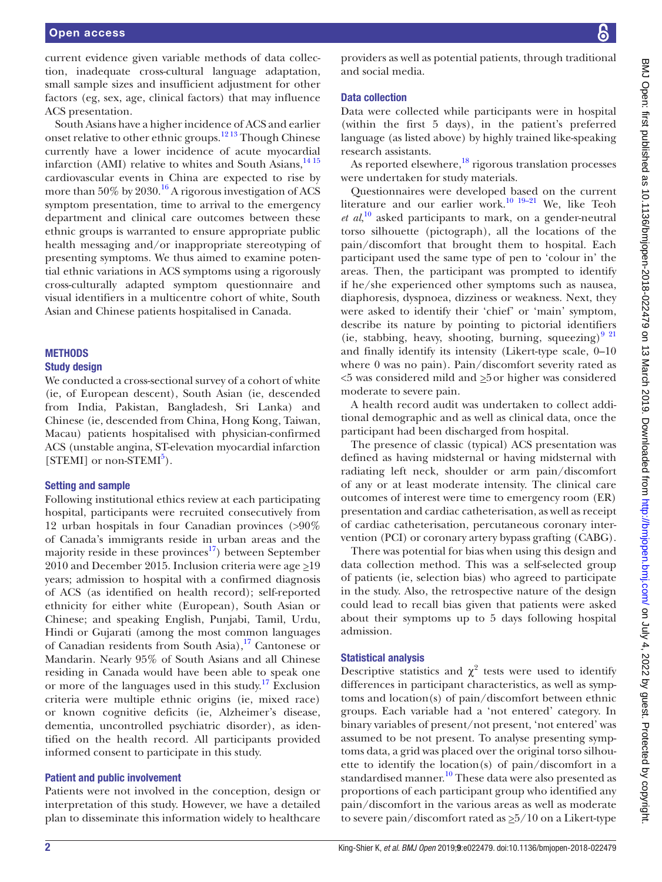current evidence given variable methods of data collection, inadequate cross-cultural language adaptation, small sample sizes and insufficient adjustment for other factors (eg, sex, age, clinical factors) that may influence ACS presentation.

South Asians have a higher incidence of ACS and earlier onset relative to other ethnic groups.[12 13](#page-7-5) Though Chinese currently have a lower incidence of acute myocardial infarction (AMI) relative to whites and South Asians, $1415$ cardiovascular events in China are expected to rise by more than 50% by 2030.<sup>16</sup> A rigorous investigation of ACS symptom presentation, time to arrival to the emergency department and clinical care outcomes between these ethnic groups is warranted to ensure appropriate public health messaging and/or inappropriate stereotyping of presenting symptoms. We thus aimed to examine potential ethnic variations in ACS symptoms using a rigorously cross-culturally adapted symptom questionnaire and visual identifiers in a multicentre cohort of white, South Asian and Chinese patients hospitalised in Canada.

# **METHODS**

#### Study design

We conducted a cross-sectional survey of a cohort of white (ie, of European descent), South Asian (ie, descended from India, Pakistan, Bangladesh, Sri Lanka) and Chinese (ie, descended from China, Hong Kong, Taiwan, Macau) patients hospitalised with physician-confirmed ACS (unstable angina, ST-elevation myocardial infarction [STEMI] or non-STEMI<sup>[5](#page-7-7)</sup>).

# Setting and sample

Following institutional ethics review at each participating hospital, participants were recruited consecutively from 12 urban hospitals in four Canadian provinces (>90% of Canada's immigrants reside in urban areas and the majority reside in these provinces $17$ ) between September 2010 and December 2015. Inclusion criteria were age  $\geq$ 19 years; admission to hospital with a confirmed diagnosis of ACS (as identified on health record); self-reported ethnicity for either white (European), South Asian or Chinese; and speaking English, Punjabi, Tamil, Urdu, Hindi or Gujarati (among the most common languages of Canadian residents from South Asia), $17$  Cantonese or Mandarin. Nearly 95% of South Asians and all Chinese residing in Canada would have been able to speak one or more of the languages used in this study.<sup>[17](#page-8-1)</sup> Exclusion criteria were multiple ethnic origins (ie, mixed race) or known cognitive deficits (ie, Alzheimer's disease, dementia, uncontrolled psychiatric disorder), as identified on the health record. All participants provided informed consent to participate in this study.

# Patient and public involvement

Patients were not involved in the conception, design or interpretation of this study. However, we have a detailed plan to disseminate this information widely to healthcare

providers as well as potential patients, through traditional and social media.

#### Data collection

Data were collected while participants were in hospital (within the first 5 days), in the patient's preferred language (as listed above) by highly trained like-speaking research assistants.

As reported elsewhere, $\frac{18}{3}$  rigorous translation processes were undertaken for study materials.

Questionnaires were developed based on the current literature and our earlier work.<sup>[10 19–21](#page-7-4)</sup> We, like Teoh *et al*, [10](#page-7-4) asked participants to mark, on a gender-neutral torso silhouette (pictograph), all the locations of the pain/discomfort that brought them to hospital. Each participant used the same type of pen to 'colour in' the areas. Then, the participant was prompted to identify if he/she experienced other symptoms such as nausea, diaphoresis, dyspnoea, dizziness or weakness. Next, they were asked to identify their 'chief' or 'main' symptom, describe its nature by pointing to pictorial identifiers (ie, stabbing, heavy, shooting, burning, squeezing) $9^{9}$ and finally identify its intensity (Likert-type scale, 0–10 where 0 was no pain). Pain/discomfort severity rated as  $\leq$ 5 was considered mild and  $\geq$ 5 or higher was considered moderate to severe pain.

A health record audit was undertaken to collect additional demographic and as well as clinical data, once the participant had been discharged from hospital.

The presence of classic (typical) ACS presentation was defined as having midsternal or having midsternal with radiating left neck, shoulder or arm pain/discomfort of any or at least moderate intensity. The clinical care outcomes of interest were time to emergency room (ER) presentation and cardiac catheterisation, as well as receipt of cardiac catheterisation, percutaneous coronary intervention (PCI) or coronary artery bypass grafting (CABG).

There was potential for bias when using this design and data collection method. This was a self-selected group of patients (ie, selection bias) who agreed to participate in the study. Also, the retrospective nature of the design could lead to recall bias given that patients were asked about their symptoms up to 5 days following hospital admission.

# Statistical analysis

Descriptive statistics and  $\chi^2$  tests were used to identify differences in participant characteristics, as well as symptoms and location(s) of pain/discomfort between ethnic groups. Each variable had a 'not entered' category. In binary variables of present/not present, 'not entered' was assumed to be not present. To analyse presenting symptoms data, a grid was placed over the original torso silhouette to identify the location(s) of pain/discomfort in a standardised manner.<sup>[10](#page-7-4)</sup> These data were also presented as proportions of each participant group who identified any pain/discomfort in the various areas as well as moderate to severe pain/discomfort rated as  $\geq 5/10$  on a Likert-type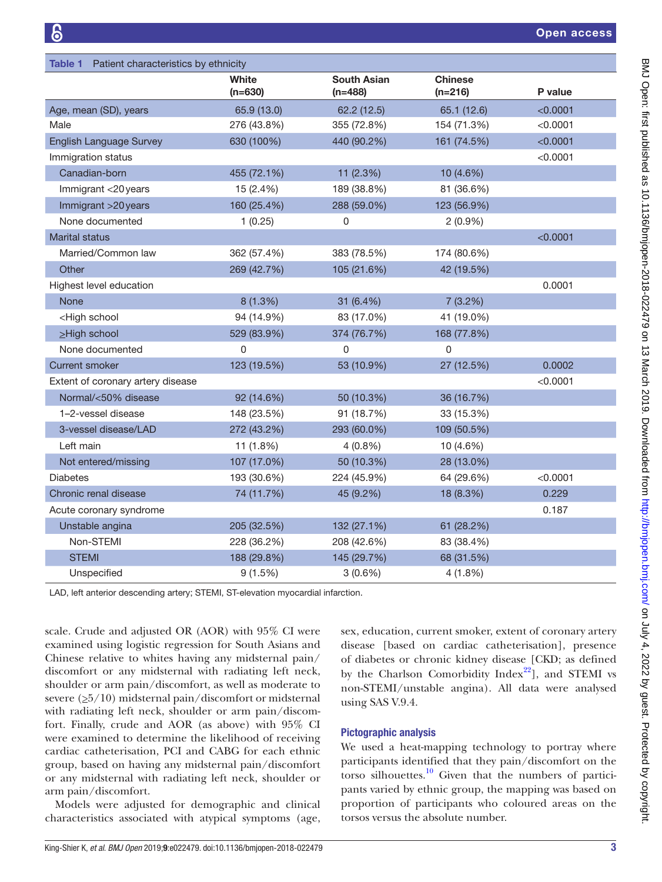<span id="page-2-0"></span>

| Patient characteristics by ethnicity<br>Table 1                                                  |                    |                                 |                             |          |
|--------------------------------------------------------------------------------------------------|--------------------|---------------------------------|-----------------------------|----------|
|                                                                                                  | White<br>$(n=630)$ | <b>South Asian</b><br>$(n=488)$ | <b>Chinese</b><br>$(n=216)$ | P value  |
| Age, mean (SD), years                                                                            | 65.9 (13.0)        | 62.2 (12.5)                     | 65.1 (12.6)                 | < 0.0001 |
| Male                                                                                             | 276 (43.8%)        | 355 (72.8%)                     | 154 (71.3%)                 | < 0.0001 |
| <b>English Language Survey</b>                                                                   | 630 (100%)         | 440 (90.2%)                     | 161 (74.5%)                 | < 0.0001 |
| Immigration status                                                                               |                    |                                 |                             | < 0.0001 |
| Canadian-born                                                                                    | 455 (72.1%)        | 11 (2.3%)                       | 10 (4.6%)                   |          |
| Immigrant <20 years                                                                              | 15 (2.4%)          | 189 (38.8%)                     | 81 (36.6%)                  |          |
| Immigrant >20 years                                                                              | 160 (25.4%)        | 288 (59.0%)                     | 123 (56.9%)                 |          |
| None documented                                                                                  | 1(0.25)            | 0                               | $2(0.9\%)$                  |          |
| <b>Marital status</b>                                                                            |                    |                                 |                             | < 0.0001 |
| Married/Common law                                                                               | 362 (57.4%)        | 383 (78.5%)                     | 174 (80.6%)                 |          |
| Other                                                                                            | 269 (42.7%)        | 105 (21.6%)                     | 42 (19.5%)                  |          |
| Highest level education                                                                          |                    |                                 |                             | 0.0001   |
| <b>None</b>                                                                                      | 8 (1.3%)           | 31 (6.4%)                       | 7(3.2%)                     |          |
| <high school<="" td=""><td>94 (14.9%)</td><td>83 (17.0%)</td><td>41 (19.0%)</td><td></td></high> | 94 (14.9%)         | 83 (17.0%)                      | 41 (19.0%)                  |          |
| $\geq$ High school                                                                               | 529 (83.9%)        | 374 (76.7%)                     | 168 (77.8%)                 |          |
| None documented                                                                                  | 0                  | 0                               | $\Omega$                    |          |
| <b>Current smoker</b>                                                                            | 123 (19.5%)        | 53 (10.9%)                      | 27 (12.5%)                  | 0.0002   |
| Extent of coronary artery disease                                                                |                    |                                 |                             | < 0.0001 |
| Normal/<50% disease                                                                              | 92 (14.6%)         | 50 (10.3%)                      | 36 (16.7%)                  |          |
| 1-2-vessel disease                                                                               | 148 (23.5%)        | 91 (18.7%)                      | 33 (15.3%)                  |          |
| 3-vessel disease/LAD                                                                             | 272 (43.2%)        | 293 (60.0%)                     | 109 (50.5%)                 |          |
| Left main                                                                                        | 11 (1.8%)          | $4(0.8\%)$                      | 10 (4.6%)                   |          |
| Not entered/missing                                                                              | 107 (17.0%)        | 50 (10.3%)                      | 28 (13.0%)                  |          |
| <b>Diabetes</b>                                                                                  | 193 (30.6%)        | 224 (45.9%)                     | 64 (29.6%)                  | < 0.0001 |
| Chronic renal disease                                                                            | 74 (11.7%)         | 45 (9.2%)                       | 18 (8.3%)                   | 0.229    |
| Acute coronary syndrome                                                                          |                    |                                 |                             | 0.187    |
| Unstable angina                                                                                  | 205 (32.5%)        | 132 (27.1%)                     | 61 (28.2%)                  |          |
| Non-STEMI                                                                                        | 228 (36.2%)        | 208 (42.6%)                     | 83 (38.4%)                  |          |
| <b>STEMI</b>                                                                                     | 188 (29.8%)        | 145 (29.7%)                     | 68 (31.5%)                  |          |
| Unspecified                                                                                      | 9(1.5%)            | $3(0.6\%)$                      | 4(1.8%)                     |          |

LAD, left anterior descending artery; STEMI, ST-elevation myocardial infarction.

scale. Crude and adjusted OR (AOR) with 95% CI were examined using logistic regression for South Asians and Chinese relative to whites having any midsternal pain/ discomfort or any midsternal with radiating left neck, shoulder or arm pain/discomfort, as well as moderate to severe  $(\geq 5/10)$  midsternal pain/discomfort or midsternal with radiating left neck, shoulder or arm pain/discomfort. Finally, crude and AOR (as above) with 95% CI were examined to determine the likelihood of receiving cardiac catheterisation, PCI and CABG for each ethnic group, based on having any midsternal pain/discomfort or any midsternal with radiating left neck, shoulder or arm pain/discomfort.

Models were adjusted for demographic and clinical characteristics associated with atypical symptoms (age,

sex, education, current smoker, extent of coronary artery disease [based on cardiac catheterisation], presence of diabetes or chronic kidney disease [CKD; as defined by the Charlson Comorbidity Index $^{22}$ ], and STEMI vs non-STEMI/unstable angina). All data were analysed using SAS V.9.4.

#### Pictographic analysis

We used a heat-mapping technology to portray where participants identified that they pain/discomfort on the torso silhouettes. $10$  Given that the numbers of participants varied by ethnic group, the mapping was based on proportion of participants who coloured areas on the torsos versus the absolute number.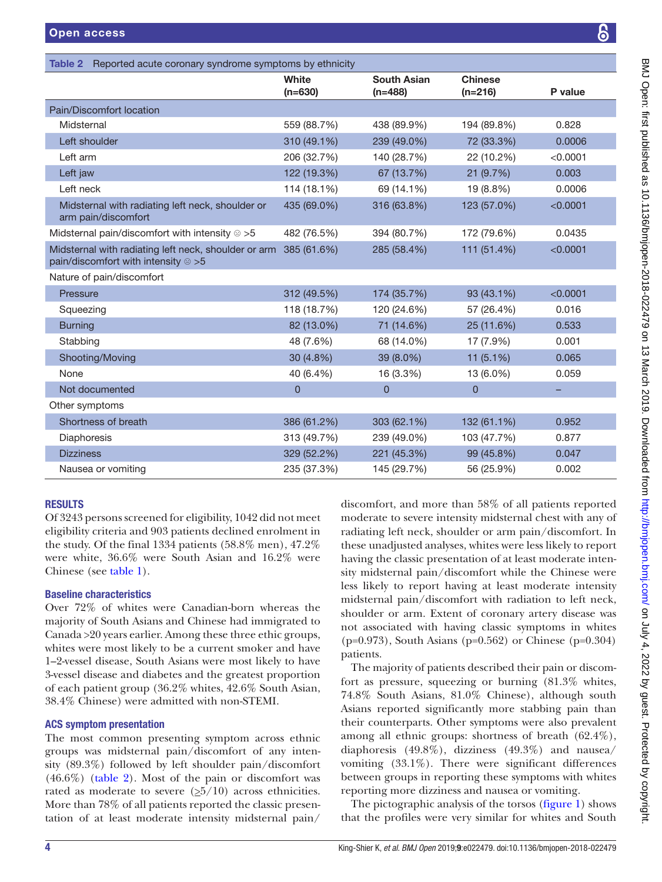| se |  |  |
|----|--|--|
|    |  |  |
|    |  |  |
|    |  |  |
|    |  |  |

|                                                                                                     | White<br>$(n=630)$ | <b>South Asian</b><br>$(n=488)$ | <b>Chinese</b><br>$(n=216)$ | P value  |
|-----------------------------------------------------------------------------------------------------|--------------------|---------------------------------|-----------------------------|----------|
| Pain/Discomfort location                                                                            |                    |                                 |                             |          |
| Midsternal                                                                                          | 559 (88.7%)        | 438 (89.9%)                     | 194 (89.8%)                 | 0.828    |
| Left shoulder                                                                                       | 310 (49.1%)        | 239 (49.0%)                     | 72 (33.3%)                  | 0.0006   |
| Left arm                                                                                            | 206 (32.7%)        | 140 (28.7%)                     | 22 (10.2%)                  | < 0.0001 |
| Left jaw                                                                                            | 122 (19.3%)        | 67 (13.7%)                      | 21 (9.7%)                   | 0.003    |
| Left neck                                                                                           | 114 (18.1%)        | 69 (14.1%)                      | 19 (8.8%)                   | 0.0006   |
| Midsternal with radiating left neck, shoulder or<br>arm pain/discomfort                             | 435 (69.0%)        | 316 (63.8%)                     | 123 (57.0%)                 | < 0.0001 |
| Midsternal pain/discomfort with intensity $\odot$ >5                                                | 482 (76.5%)        | 394 (80.7%)                     | 172 (79.6%)                 | 0.0435   |
| Midsternal with radiating left neck, shoulder or arm<br>pain/discomfort with intensity $\otimes$ >5 | 385 (61.6%)        | 285 (58.4%)                     | 111 (51.4%)                 | < 0.0001 |
| Nature of pain/discomfort                                                                           |                    |                                 |                             |          |
| Pressure                                                                                            | 312 (49.5%)        | 174 (35.7%)                     | 93 (43.1%)                  | < 0.0001 |
| Squeezing                                                                                           | 118 (18.7%)        | 120 (24.6%)                     | 57 (26.4%)                  | 0.016    |
| <b>Burning</b>                                                                                      | 82 (13.0%)         | 71 (14.6%)                      | 25 (11.6%)                  | 0.533    |
| Stabbing                                                                                            | 48 (7.6%)          | 68 (14.0%)                      | 17 (7.9%)                   | 0.001    |
| Shooting/Moving                                                                                     | 30 (4.8%)          | 39 (8.0%)                       | 11 $(5.1\%)$                | 0.065    |
| None                                                                                                | 40 (6.4%)          | 16 (3.3%)                       | 13 (6.0%)                   | 0.059    |
| Not documented                                                                                      | $\overline{0}$     | $\mathbf{0}$                    | $\overline{0}$              |          |
| Other symptoms                                                                                      |                    |                                 |                             |          |
| Shortness of breath                                                                                 | 386 (61.2%)        | 303 (62.1%)                     | 132 (61.1%)                 | 0.952    |
| Diaphoresis                                                                                         | 313 (49.7%)        | 239 (49.0%)                     | 103 (47.7%)                 | 0.877    |
| <b>Dizziness</b>                                                                                    | 329 (52.2%)        | 221 (45.3%)                     | 99 (45.8%)                  | 0.047    |
| Nausea or vomiting                                                                                  | 235 (37.3%)        | 145 (29.7%)                     | 56 (25.9%)                  | 0.002    |
|                                                                                                     |                    |                                 |                             |          |

# **RESULTS**

Of 3243 persons screened for eligibility, 1042 did not meet eligibility criteria and 903 patients declined enrolment in the study. Of the final 1334 patients (58.8% men), 47.2% were white, 36.6% were South Asian and 16.2% were Chinese (see [table](#page-2-0) 1).

<span id="page-3-0"></span>Table 2 Reported acute coronary syndrome symptoms by ethnicity

# Baseline characteristics

Over 72% of whites were Canadian-born whereas the majority of South Asians and Chinese had immigrated to Canada >20 years earlier. Among these three ethic groups, whites were most likely to be a current smoker and have 1–2-vessel disease, South Asians were most likely to have 3-vessel disease and diabetes and the greatest proportion of each patient group (36.2% whites, 42.6% South Asian, 38.4% Chinese) were admitted with non-STEMI.

#### ACS symptom presentation

The most common presenting symptom across ethnic groups was midsternal pain/discomfort of any intensity (89.3%) followed by left shoulder pain/discomfort  $(46.6\%)$  [\(table](#page-3-0) 2). Most of the pain or discomfort was rated as moderate to severe  $(\geq 5/10)$  across ethnicities. More than 78% of all patients reported the classic presentation of at least moderate intensity midsternal pain/

discomfort, and more than 58% of all patients reported moderate to severe intensity midsternal chest with any of radiating left neck, shoulder or arm pain/discomfort. In these unadjusted analyses, whites were less likely to report having the classic presentation of at least moderate intensity midsternal pain/discomfort while the Chinese were less likely to report having at least moderate intensity midsternal pain/discomfort with radiation to left neck, shoulder or arm. Extent of coronary artery disease was not associated with having classic symptoms in whites (p=0.973), South Asians (p=0.562) or Chinese (p=0.304) patients.

The majority of patients described their pain or discomfort as pressure, squeezing or burning (81.3% whites, 74.8% South Asians, 81.0% Chinese), although south Asians reported significantly more stabbing pain than their counterparts. Other symptoms were also prevalent among all ethnic groups: shortness of breath (62.4%), diaphoresis (49.8%), dizziness (49.3%) and nausea/ vomiting (33.1%). There were significant differences between groups in reporting these symptoms with whites reporting more dizziness and nausea or vomiting.

The pictographic analysis of the torsos [\(figure](#page-4-0) 1) shows that the profiles were very similar for whites and South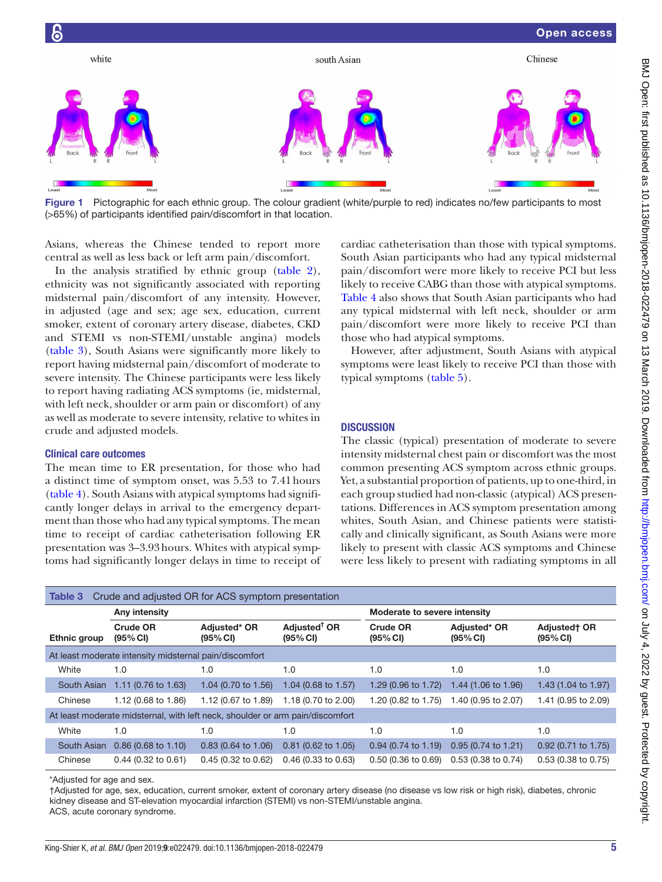

<span id="page-4-0"></span>Figure 1 Pictographic for each ethnic group. The colour gradient (white/purple to red) indicates no/few participants to most (>65%) of participants identified pain/discomfort in that location.

Asians, whereas the Chinese tended to report more central as well as less back or left arm pain/discomfort.

In the analysis stratified by ethnic group ([table](#page-3-0) 2), ethnicity was not significantly associated with reporting midsternal pain/discomfort of any intensity. However, in adjusted (age and sex; age sex, education, current smoker, extent of coronary artery disease, diabetes, CKD and STEMI vs non-STEMI/unstable angina) models ([table](#page-4-1) 3), South Asians were significantly more likely to report having midsternal pain/discomfort of moderate to severe intensity. The Chinese participants were less likely to report having radiating ACS symptoms (ie, midsternal, with left neck, shoulder or arm pain or discomfort) of any as well as moderate to severe intensity, relative to whites in crude and adjusted models.

#### Clinical care outcomes

The mean time to ER presentation, for those who had a distinct time of symptom onset, was 5.53 to 7.41hours ([table](#page-5-0) 4). South Asians with atypical symptoms had significantly longer delays in arrival to the emergency department than those who had any typical symptoms. The mean time to receipt of cardiac catheterisation following ER presentation was 3–3.93hours. Whites with atypical symptoms had significantly longer delays in time to receipt of cardiac catheterisation than those with typical symptoms. South Asian participants who had any typical midsternal pain/discomfort were more likely to receive PCI but less likely to receive CABG than those with atypical symptoms. [Table](#page-5-0) 4 also shows that South Asian participants who had any typical midsternal with left neck, shoulder or arm pain/discomfort were more likely to receive PCI than those who had atypical symptoms.

However, after adjustment, South Asians with atypical symptoms were least likely to receive PCI than those with typical symptoms ([table](#page-6-0) 5).

#### **DISCUSSION**

The classic (typical) presentation of moderate to severe intensity midsternal chest pain or discomfort was the most common presenting ACS symptom across ethnic groups. Yet, a substantial proportion of patients, up to one-third, in each group studied had non-classic (atypical) ACS presentations. Differences in ACS symptom presentation among whites, South Asian, and Chinese patients were statistically and clinically significant, as South Asians were more likely to present with classic ACS symptoms and Chinese were less likely to present with radiating symptoms in all

<span id="page-4-1"></span>

| Crude and adjusted OR for ACS symptom presentation<br>Table 3                 |               |                             |                                |                                      |                             |                                |                                 |
|-------------------------------------------------------------------------------|---------------|-----------------------------|--------------------------------|--------------------------------------|-----------------------------|--------------------------------|---------------------------------|
|                                                                               | Any intensity |                             | Moderate to severe intensity   |                                      |                             |                                |                                 |
|                                                                               | Ethnic group  | <b>Crude OR</b><br>(95% CI) | Adjusted* OR<br>(95% CI)       | Adjusted <sup>†</sup> OR<br>(95% CI) | <b>Crude OR</b><br>(95% CI) | Adjusted* OR<br>(95% CI)       | <b>Adjustedt OR</b><br>(95% CI) |
| At least moderate intensity midsternal pain/discomfort                        |               |                             |                                |                                      |                             |                                |                                 |
|                                                                               | White         | 1.0                         | 1.0                            | 1.0                                  | 1.0                         | 1.0                            | 1.0                             |
|                                                                               | South Asian   | 1.11 (0.76 to 1.63)         | 1.04 $(0.70 \text{ to } 1.56)$ | 1.04 (0.68 to 1.57)                  | 1.29 (0.96 to 1.72)         | 1.44 $(1.06 \text{ to } 1.96)$ | 1.43 (1.04 to 1.97)             |
|                                                                               | Chinese       | 1.12 (0.68 to 1.86)         | 1.12 (0.67 to 1.89)            | 1.18 (0.70 to 2.00)                  | 1.20 (0.82 to 1.75)         | 1.40 (0.95 to 2.07)            | 1.41 (0.95 to 2.09)             |
| At least moderate midsternal, with left neck, shoulder or arm pain/discomfort |               |                             |                                |                                      |                             |                                |                                 |
|                                                                               | White         | 1.0                         | 1.0                            | 1.0                                  | 1.0                         | 1.0                            | 1.0                             |
|                                                                               | South Asian   | $0.86$ (0.68 to 1.10)       | $0.83$ (0.64 to 1.06)          | $0.81$ (0.62 to 1.05)                | $0.94$ (0.74 to 1.19)       | $0.95(0.74 \text{ to } 1.21)$  | 0.92 (0.71 to 1.75)             |
|                                                                               | Chinese       | $0.44$ (0.32 to 0.61)       | $0.45$ (0.32 to 0.62)          | $0.46$ (0.33 to 0.63)                | $0.50(0.36)$ to $0.69$      | 0.53 (0.38 to 0.74)            | $0.53$ (0.38 to 0.75)           |

\*Adjusted for age and sex.

†Adjusted for age, sex, education, current smoker, extent of coronary artery disease (no disease vs low risk or high risk), diabetes, chronic kidney disease and ST-elevation myocardial infarction (STEMI) vs non-STEMI/unstable angina. ACS, acute coronary syndrome.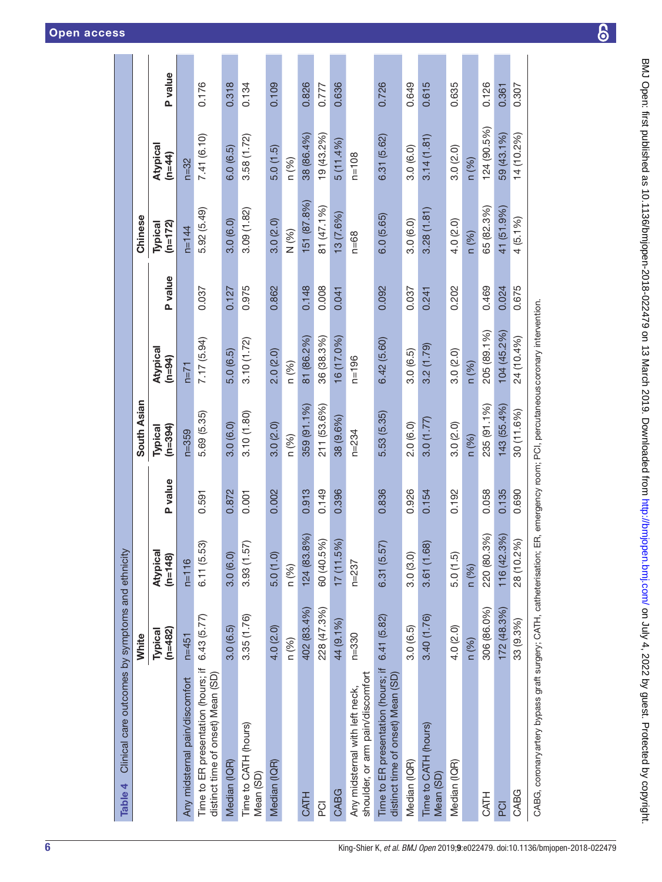<span id="page-5-0"></span>

| Clinical care outcomes by symptoms and ethnicity<br>Table 4             |                      |                       |         |                      |                                                              |         |                      |                    |                |
|-------------------------------------------------------------------------|----------------------|-----------------------|---------|----------------------|--------------------------------------------------------------|---------|----------------------|--------------------|----------------|
|                                                                         | White                |                       |         | South Asian          |                                                              |         | Chinese              |                    |                |
|                                                                         | $(n=482)$<br>Typical | Atypical<br>$(n=148)$ | P value | $(n=394)$<br>Typical | Atypical<br>$(n=94)$                                         | P value | $(n=172)$<br>Typical | Atypical<br>(n=44) | <b>P</b> value |
| Any midsternal pain/discomfort                                          | $n=451$              | $n=116$               |         | $n = 359$            | $n=71$                                                       |         | $n = 144$            | $n = 32$           |                |
| Time to ER presentation (hours; if<br>distinct time of onset) Mean (SD) | 6.43 (5.77)          | 6.11 (5.53)           | 0.591   | 5.69 (5.35)          | 7.17 (5.94)                                                  | 0.037   | 5.92 (5.49)          | 7.41 (6.10)        | 0.176          |
| Median (IQR)                                                            | 3.0(6.5)             | 3.0(6.0)              | 0.872   | 3.0(6.0)             | 5.0(6.5)                                                     | 0.127   | 3.0(6.0)             | 6.0(6.5)           | 0.318          |
| Time to CATH (hours)<br>Mean (SD)                                       | 3.35 (1.76)          | 3.93(1.57)            | 0.001   | 3.10(1.80)           | 3.10(1.72)                                                   | 0.975   | 3.09(1.82)           | 3.58(1.72)         | 0.134          |
| Median (IQR)                                                            | 4.0(2.0)             | 5.0(1.0)              | 0.002   | 3.0(2.0)             | 2.0(2.0)                                                     | 0.862   | 3.0(2.0)             | 5.0(1.5)           | 0.109          |
|                                                                         | n (%)                | n (%)                 |         | n (%)                | n (%)                                                        |         | N (%)                | n (%)              |                |
| <b>CATH</b>                                                             | 402 (83.4%)          | 124 (83.8%)           | 0.913   | 359 (91.1%)          | 81 (86.2%)                                                   | 0.148   | 151 (87.8%)          | 38 (86.4%)         | 0.826          |
| б<br>Р                                                                  | 228 (47.3%)          | 60 (40.5%)            | 0.149   | 211 (53.6%)          | 36 (38.3%)                                                   | 0.008   | 81 (47.1%)           | 19 (43.2%)         | 0.777          |
| CABG                                                                    | 44 (9.1%)            | 17(11.5%)             | 0.396   | 38 (9.6%)            | 16 (17.0%)                                                   | 0.041   | 13 (7.6%)            | $5(11.4\%)$        | 0.636          |
| shoulder, or arm pain/discomfort<br>Any midsternal with left neck,      | $n = 330$            | $n = 237$             |         | $n = 234$            | $n = 196$                                                    |         | $n = 68$             | $n = 108$          |                |
| Time to ER presentation (hours; if<br>distinct time of onset) Mean (SD) | 6.41(5.82)           | 6.31(5.57)            | 0.836   | 5.53 (5.35)          | 6.42 (5.60)                                                  | 0.092   | 6.0(5.65)            | 6.31 (5.62)        | 0.726          |
| Median (IQR)                                                            | 3.0(6.5)             | 3.0(3.0)              | 0.926   | 2.0(6.0)             | 3.0(6.5)                                                     | 0.037   | 3.0(6.0)             | 3.0(6.0)           | 0.649          |
| Time to CATH (hours)<br>Mean (SD)                                       | 3.40 (1.76)          | 3.61 (1.68)           | 0.154   | 3.0(1.77)            | 3.2(1.79)                                                    | 0.241   | 3.28(1.81)           | 3.14(1.81)         | 0.615          |
| Median (IQR)                                                            | 4.0 (2.0)            | 5.0(1.5)              | 0.192   | 3.0(2.0)             | 3.0(2.0)                                                     | 0.202   | 4.0 (2.0)            | 3.0(2.0)           | 0.635          |
|                                                                         | n (%)                | n (%)                 |         | n (%)                | n (%)                                                        |         | n (%)                | n (%)              |                |
| <b>CATH</b>                                                             | 306 (86.0%)          | 220 (80.3%)           | 0.058   | 235 (91.1%)          | 205 (89.1%)                                                  | 0.469   | 65 (82.3%)           | 124 (90.5%)        | 0.126          |
| <b>DO</b>                                                               | 172(48.3%)           | 116 (42.3%)           | 0.135   | 143 (55.4%)          | 104 (45.2%)                                                  | 0.024   | 41 (51.9%)           | 59 (43.1%)         | 0.361          |
| CABG                                                                    | 33 (9.3%)            | 28 (10.2%)            | 0.690   | 30 (11.6%)           | 24 (10.4%)                                                   | 0.675   | $4(5.1\%)$           | 14 (10.2%)         | 0.307          |
| CABG, coronary artery bypass graft surgery; CATH, catheterisation;      |                      |                       |         |                      | ER, emergency room; PCI, percutaneous coronary intervention. |         |                      |                    |                |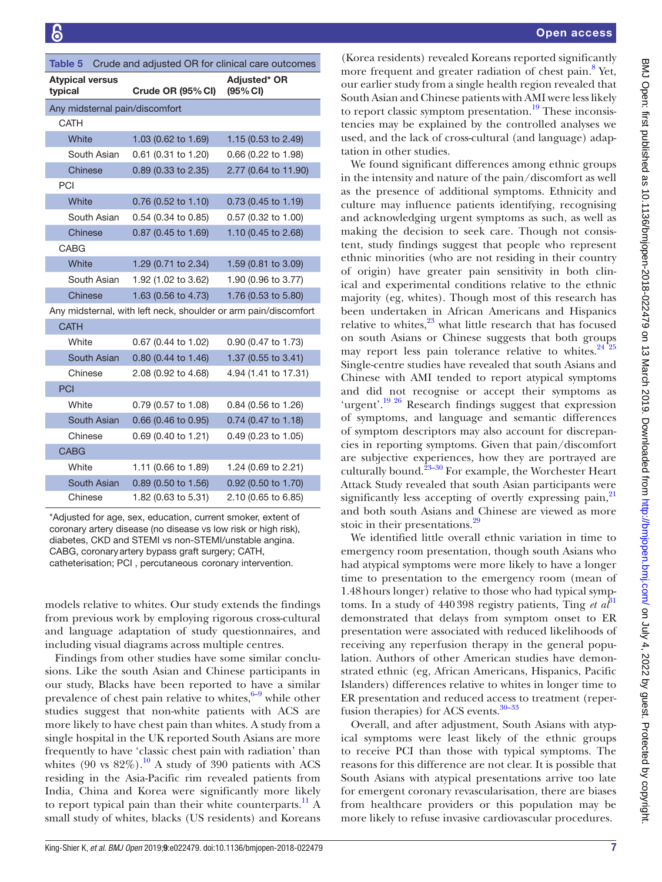<span id="page-6-0"></span>

| Crude and adjusted OR for clinical care outcomes<br>Table 5     |                       |                                 |  |  |  |  |
|-----------------------------------------------------------------|-----------------------|---------------------------------|--|--|--|--|
| <b>Atypical versus</b><br>typical                               | Crude OR (95% CI)     | <b>Adiusted* OR</b><br>(95% CI) |  |  |  |  |
| Any midsternal pain/discomfort                                  |                       |                                 |  |  |  |  |
| <b>CATH</b>                                                     |                       |                                 |  |  |  |  |
| White                                                           | 1.03 (0.62 to 1.69)   | 1.15 (0.53 to 2.49)             |  |  |  |  |
| South Asian                                                     | 0.61 (0.31 to 1.20)   | 0.66 (0.22 to 1.98)             |  |  |  |  |
| Chinese                                                         | 0.89 (0.33 to 2.35)   | 2.77 (0.64 to 11.90)            |  |  |  |  |
| PCI                                                             |                       |                                 |  |  |  |  |
| White                                                           | 0.76 (0.52 to 1.10)   | $0.73$ (0.45 to 1.19)           |  |  |  |  |
| South Asian                                                     | 0.54 (0.34 to 0.85)   | 0.57 (0.32 to 1.00)             |  |  |  |  |
| Chinese                                                         | 0.87 (0.45 to 1.69)   | 1.10 (0.45 to 2.68)             |  |  |  |  |
| CABG                                                            |                       |                                 |  |  |  |  |
| White                                                           | 1.29 (0.71 to 2.34)   | 1.59 (0.81 to 3.09)             |  |  |  |  |
| South Asian                                                     | 1.92 (1.02 to 3.62)   | 1.90 (0.96 to 3.77)             |  |  |  |  |
| Chinese                                                         | 1.63 (0.56 to 4.73)   | 1.76 (0.53 to 5.80)             |  |  |  |  |
| Any midsternal, with left neck, shoulder or arm pain/discomfort |                       |                                 |  |  |  |  |
| <b>CATH</b>                                                     |                       |                                 |  |  |  |  |
| White                                                           | 0.67 (0.44 to 1.02)   | 0.90 (0.47 to 1.73)             |  |  |  |  |
| South Asian                                                     | $0.80$ (0.44 to 1.46) | 1.37 (0.55 to 3.41)             |  |  |  |  |
| Chinese                                                         | 2.08 (0.92 to 4.68)   | 4.94 (1.41 to 17.31)            |  |  |  |  |
| PCI                                                             |                       |                                 |  |  |  |  |
| White                                                           | 0.79 (0.57 to 1.08)   | 0.84 (0.56 to 1.26)             |  |  |  |  |
| South Asian                                                     | 0.66 (0.46 to 0.95)   | 0.74 (0.47 to 1.18)             |  |  |  |  |
| Chinese                                                         | 0.69 (0.40 to 1.21)   | 0.49 (0.23 to 1.05)             |  |  |  |  |
| <b>CABG</b>                                                     |                       |                                 |  |  |  |  |
| White                                                           | 1.11 (0.66 to 1.89)   | 1.24 (0.69 to 2.21)             |  |  |  |  |
| South Asian                                                     | 0.89 (0.50 to 1.56)   | 0.92 (0.50 to 1.70)             |  |  |  |  |
| Chinese                                                         | 1.82 (0.63 to 5.31)   | 2.10 (0.65 to 6.85)             |  |  |  |  |

\*Adjusted for age, sex, education, current smoker, extent of coronary artery disease (no disease vs low risk or high risk), diabetes, CKD and STEMI vs non-STEMI/unstable angina. CABG, coronaryartery bypass graft surgery; CATH, catheterisation; PCI , percutaneous coronary intervention.

models relative to whites. Our study extends the findings from previous work by employing rigorous cross-cultural and language adaptation of study questionnaires, and including visual diagrams across multiple centres.

Findings from other studies have some similar conclusions. Like the south Asian and Chinese participants in our study, Blacks have been reported to have a similar prevalence of chest pain relative to whites, $6-9$  while other studies suggest that non-white patients with ACS are more likely to have chest pain than whites. A study from a single hospital in the UK reported South Asians are more frequently to have 'classic chest pain with radiation' than whites (90 vs  $82\%$ ).<sup>10</sup> A study of 390 patients with ACS residing in the Asia-Pacific rim revealed patients from India, China and Korea were significantly more likely to report typical pain than their white counterparts.<sup>11</sup> A small study of whites, blacks (US residents) and Koreans

(Korea residents) revealed Koreans reported significantly more frequent and greater radiation of chest pain.<sup>[8](#page-7-10)</sup> Yet, our earlier study from a single health region revealed that South Asian and Chinese patients with AMI were less likely to report classic symptom presentation.<sup>19</sup> These inconsistencies may be explained by the controlled analyses we used, and the lack of cross-cultural (and language) adaptation in other studies.

We found significant differences among ethnic groups in the intensity and nature of the pain/discomfort as well as the presence of additional symptoms. Ethnicity and culture may influence patients identifying, recognising and acknowledging urgent symptoms as such, as well as making the decision to seek care. Though not consistent, study findings suggest that people who represent ethnic minorities (who are not residing in their country of origin) have greater pain sensitivity in both clinical and experimental conditions relative to the ethnic majority (eg, whites). Though most of this research has been undertaken in African Americans and Hispanics relative to whites, $23$  what little research that has focused on south Asians or Chinese suggests that both groups may report less pain tolerance relative to whites. $24^{25}$ Single-centre studies have revealed that south Asians and Chinese with AMI tended to report atypical symptoms and did not recognise or accept their symptoms as 'urgent'.<sup>19 26</sup> Research findings suggest that expression of symptoms, and language and semantic differences of symptom descriptors may also account for discrepancies in reporting symptoms. Given that pain/discomfort are subjective experiences, how they are portrayed are culturally bound. $23-30$  For example, the Worchester Heart Attack Study revealed that south Asian participants were significantly less accepting of overtly expressing pain,<sup>[21](#page-8-7)</sup> and both south Asians and Chinese are viewed as more stoic in their presentations.<sup>[29](#page-8-8)</sup>

We identified little overall ethnic variation in time to emergency room presentation, though south Asians who had atypical symptoms were more likely to have a longer time to presentation to the emergency room (mean of 1.48hours longer) relative to those who had typical symptoms. In a study of 440398 registry patients, Ting *et al*<sup>[31](#page-8-9)</sup> demonstrated that delays from symptom onset to ER presentation were associated with reduced likelihoods of receiving any reperfusion therapy in the general population. Authors of other American studies have demonstrated ethnic (eg, African Americans, Hispanics, Pacific Islanders) differences relative to whites in longer time to ER presentation and reduced access to treatment (reperfusion therapies) for ACS events.<sup>30-33</sup>

Overall, and after adjustment, South Asians with atypical symptoms were least likely of the ethnic groups to receive PCI than those with typical symptoms. The reasons for this difference are not clear. It is possible that South Asians with atypical presentations arrive too late for emergent coronary revascularisation, there are biases from healthcare providers or this population may be more likely to refuse invasive cardiovascular procedures.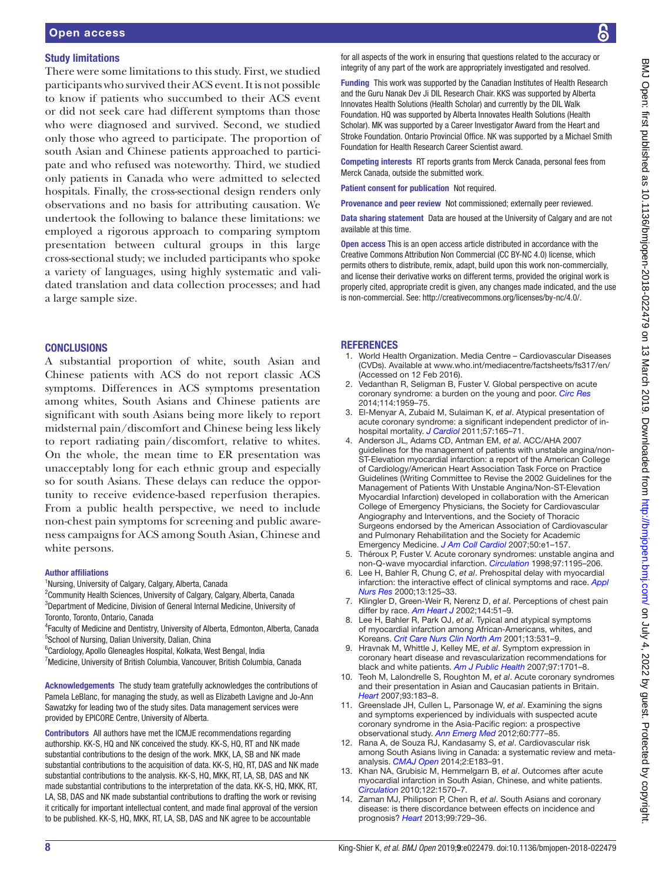# Study limitations

There were some limitations to this study. First, we studied participants who survived their ACS event. It is not possible to know if patients who succumbed to their ACS event or did not seek care had different symptoms than those who were diagnosed and survived. Second, we studied only those who agreed to participate. The proportion of south Asian and Chinese patients approached to participate and who refused was noteworthy. Third, we studied only patients in Canada who were admitted to selected hospitals. Finally, the cross-sectional design renders only observations and no basis for attributing causation. We undertook the following to balance these limitations: we employed a rigorous approach to comparing symptom presentation between cultural groups in this large cross-sectional study; we included participants who spoke a variety of languages, using highly systematic and validated translation and data collection processes; and had a large sample size.

#### **CONCLUSIONS**

A substantial proportion of white, south Asian and Chinese patients with ACS do not report classic ACS symptoms. Differences in ACS symptoms presentation among whites, South Asians and Chinese patients are significant with south Asians being more likely to report midsternal pain/discomfort and Chinese being less likely to report radiating pain/discomfort, relative to whites. On the whole, the mean time to ER presentation was unacceptably long for each ethnic group and especially so for south Asians. These delays can reduce the opportunity to receive evidence-based reperfusion therapies. From a public health perspective, we need to include non-chest pain symptoms for screening and public awareness campaigns for ACS among South Asian, Chinese and white persons.

#### Author affiliations

<sup>1</sup>Nursing, University of Calgary, Calgary, Alberta, Canada

<sup>2</sup>Community Health Sciences, University of Calgary, Calgary, Alberta, Canada 3 Department of Medicine, Division of General Internal Medicine, University of Toronto, Toronto, Ontario, Canada

4 Faculty of Medicine and Dentistry, University of Alberta, Edmonton, Alberta, Canada <sup>5</sup>School of Nursing, Dalian University, Dalian, China

6 Cardiology, Apollo Gleneagles Hospital, Kolkata, West Bengal, India

<sup>7</sup>Medicine, University of British Columbia, Vancouver, British Columbia, Canada

Acknowledgements The study team gratefully acknowledges the contributions of Pamela LeBlanc, for managing the study, as well as Elizabeth Lavigne and Jo-Ann Sawatzky for leading two of the study sites. Data management services were provided by EPICORE Centre, University of Alberta.

Contributors All authors have met the ICMJE recommendations regarding authorship. KK-S, HQ and NK conceived the study. KK-S, HQ, RT and NK made substantial contributions to the design of the work. MKK, LA, SB and NK made substantial contributions to the acquisition of data. KK-S, HQ, RT, DAS and NK made substantial contributions to the analysis. KK-S, HQ, MKK, RT, LA, SB, DAS and NK made substantial contributions to the interpretation of the data. KK-S, HQ, MKK, RT, LA, SB, DAS and NK made substantial contributions to drafting the work or revising it critically for important intellectual content, and made final approval of the version to be published. KK-S, HQ, MKK, RT, LA, SB, DAS and NK agree to be accountable

for all aspects of the work in ensuring that questions related to the accuracy or integrity of any part of the work are appropriately investigated and resolved.

Funding This work was supported by the Canadian Institutes of Health Research and the Guru Nanak Dev Ji DIL Research Chair. KKS was supported by Alberta Innovates Health Solutions (Health Scholar) and currently by the DIL Walk Foundation. HQ was supported by Alberta Innovates Health Solutions (Health Scholar). MK was supported by a Career Investigator Award from the Heart and Stroke Foundation. Ontario Provincial Office. NK was supported by a Michael Smith Foundation for Health Research Career Scientist award.

Competing interests RT reports grants from Merck Canada, personal fees from Merck Canada, outside the submitted work.

Patient consent for publication Not required.

Provenance and peer review Not commissioned; externally peer reviewed.

Data sharing statement Data are housed at the University of Calgary and are not available at this time.

Open access This is an open access article distributed in accordance with the Creative Commons Attribution Non Commercial (CC BY-NC 4.0) license, which permits others to distribute, remix, adapt, build upon this work non-commercially, and license their derivative works on different terms, provided the original work is properly cited, appropriate credit is given, any changes made indicated, and the use is non-commercial. See: [http://creativecommons.org/licenses/by-nc/4.0/.](http://creativecommons.org/licenses/by-nc/4.0/)

#### **REFERENCES**

- <span id="page-7-0"></span>1. World Health Organization. Media Centre – Cardiovascular Diseases (CVDs). Available at<www.who.int/mediacentre/factsheets/fs317/en/> (Accessed on 12 Feb 2016).
- 2. Vedanthan R, Seligman B, Fuster V. Global perspective on acute coronary syndrome: a burden on the young and poor. *[Circ Res](http://dx.doi.org/10.1161/CIRCRESAHA.114.302782)* 2014;114:1959–75.
- <span id="page-7-1"></span>3. El-Menyar A, Zubaid M, Sulaiman K, *et al*. Atypical presentation of acute coronary syndrome: a significant independent predictor of inhospital mortality. *[J Cardiol](http://dx.doi.org/10.1016/j.jjcc.2010.11.008)* 2011;57:165–71.
- <span id="page-7-2"></span>4. Anderson JL, Adams CD, Antman EM, *et al*. ACC/AHA 2007 guidelines for the management of patients with unstable angina/non-ST-Elevation myocardial infarction: a report of the American College of Cardiology/American Heart Association Task Force on Practice Guidelines (Writing Committee to Revise the 2002 Guidelines for the Management of Patients With Unstable Angina/Non-ST-Elevation Myocardial Infarction) developed in collaboration with the American College of Emergency Physicians, the Society for Cardiovascular Angiography and Interventions, and the Society of Thoracic Surgeons endorsed by the American Association of Cardiovascular and Pulmonary Rehabilitation and the Society for Academic Emergency Medicine. *[J Am Coll Cardiol](http://dx.doi.org/10.1016/j.jacc.2007.02.013)* 2007;50:e1–157.
- <span id="page-7-7"></span>5. Théroux P, Fuster V. Acute coronary syndromes: unstable angina and non-Q-wave myocardial infarction. *[Circulation](http://www.ncbi.nlm.nih.gov/pubmed/9537346)* 1998;97:1195–206.
- <span id="page-7-3"></span>6. Lee H, Bahler R, Chung C, *et al*. Prehospital delay with myocardial infarction: the interactive effect of clinical symptoms and race. *[Appl](http://dx.doi.org/10.1053/apnr.2000.7652)  [Nurs Res](http://dx.doi.org/10.1053/apnr.2000.7652)* 2000;13:125–33.
- 7. Klingler D, Green-Weir R, Nerenz D, *et al*. Perceptions of chest pain differ by race. *[Am Heart J](http://dx.doi.org/10.1067/mhj.2002.122169)* 2002;144:51–9.
- <span id="page-7-10"></span>Lee H, Bahler R, Park OJ, et al. Typical and atypical symptoms of myocardial infarction among African-Americans, whites, and Koreans. *[Crit Care Nurs Clin North Am](http://dx.doi.org/10.1016/S0899-5885(18)30020-0)* 2001;13:531–9.
- <span id="page-7-8"></span>9. Hravnak M, Whittle J, Kelley ME, *et al*. Symptom expression in coronary heart disease and revascularization recommendations for black and white patients. *[Am J Public Health](http://dx.doi.org/10.2105/AJPH.2005.084103)* 2007;97:1701–8.
- <span id="page-7-4"></span>10. Teoh M, Lalondrelle S, Roughton M, *et al*. Acute coronary syndromes and their presentation in Asian and Caucasian patients in Britain. *[Heart](http://dx.doi.org/10.1136/hrt.2006.091900)* 2007;93:183–8.
- <span id="page-7-9"></span>11. Greenslade JH, Cullen L, Parsonage W, *et al*. Examining the signs and symptoms experienced by individuals with suspected acute coronary syndrome in the Asia-Pacific region: a prospective observational study. *[Ann Emerg Med](http://dx.doi.org/10.1016/j.annemergmed.2012.05.008)* 2012;60:777–85.
- <span id="page-7-5"></span>12. Rana A, de Souza RJ, Kandasamy S, *et al*. Cardiovascular risk among South Asians living in Canada: a systematic review and metaanalysis. *[CMAJ Open](http://dx.doi.org/10.9778/cmajo.20130064)* 2014;2:E183–91.
- 13. Khan NA, Grubisic M, Hemmelgarn B, *et al*. Outcomes after acute myocardial infarction in South Asian, Chinese, and white patients. *[Circulation](http://dx.doi.org/10.1161/CIRCULATIONAHA.109.850297)* 2010;122:1570–7.
- <span id="page-7-6"></span>14. Zaman MJ, Philipson P, Chen R, *et al*. South Asians and coronary disease: is there discordance between effects on incidence and prognosis? *[Heart](http://dx.doi.org/10.1136/heartjnl-2012-302925)* 2013;99:729–36.